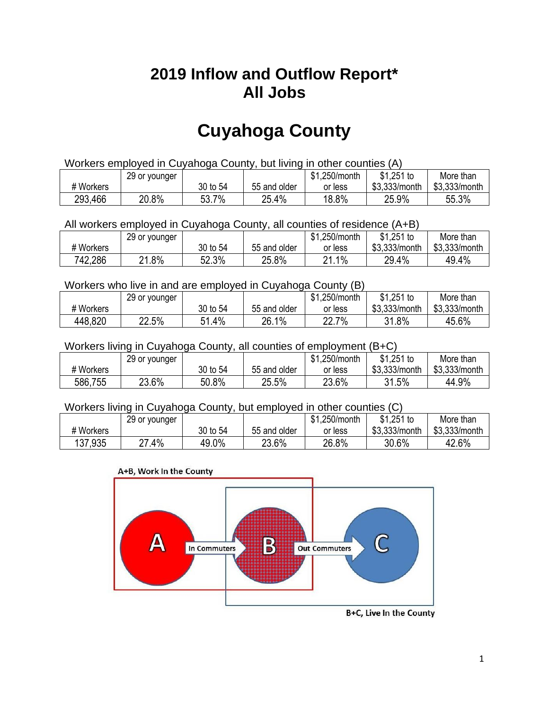## **2019 Inflow and Outflow Report\* All Jobs**

# **Cuyahoga County**

| Workers employed in Cuyahoga County, but living in other counties (A) |                                                            |          |              |         |               |               |  |  |  |
|-----------------------------------------------------------------------|------------------------------------------------------------|----------|--------------|---------|---------------|---------------|--|--|--|
|                                                                       | $$1,251$ to<br>\$1,250/month<br>More than<br>29 or younger |          |              |         |               |               |  |  |  |
| # Workers                                                             |                                                            | 30 to 54 | 55 and older | or less | \$3.333/month | \$3,333/month |  |  |  |
| 20.8%<br>293,466<br>18.8%<br>53.7%<br>25.9%<br>55.3%<br>25.4%         |                                                            |          |              |         |               |               |  |  |  |

#### All workers employed in Cuyahoga County, all counties of residence (A+B)

|           | 29 or younger |          |              | \$1,250/month          | $$1,251$ to   | More than     |
|-----------|---------------|----------|--------------|------------------------|---------------|---------------|
| # Workers |               | 30 to 54 | 55 and older | or less                | \$3,333/month | \$3,333/month |
| 742,286   | $.8\%$<br>ົາ  | 52.3%    | 25.8%        | 21.1%<br>$\mathcal{D}$ | 29.4%         | 49.4%         |

#### Workers who live in and are employed in Cuyahoga County (B)

|           | 29 or younger |              |              | \$1,250/month    | $$1,251$ to   | More than     |
|-----------|---------------|--------------|--------------|------------------|---------------|---------------|
| # Workers |               | 30 to 54     | 55 and older | or less          | \$3,333/month | \$3,333/month |
| 448,820   | 22.5%         | 51.4%<br>C 4 | 26.1%        | 7%<br>∩∩<br>22.I | 31.8%         | 45.6%         |

#### Workers living in Cuyahoga County, all counties of employment (B+C)

|           | 29 or younger |          |              | \$1,250/month | $$1,251$ to   | More than     |
|-----------|---------------|----------|--------------|---------------|---------------|---------------|
| # Workers |               | 30 to 54 | 55 and older | or less       | \$3,333/month | \$3,333/month |
| 586,755   | 23.6%         | 50.8%    | 25.5%        | 23.6%         | 31.5%         | 44.9%         |

#### Workers living in Cuyahoga County, but employed in other counties (C)

|           | 29 or younger   |          |              | \$1,250/month | \$1,251 to    | More than     |
|-----------|-----------------|----------|--------------|---------------|---------------|---------------|
| # Workers |                 | 30 to 54 | 55 and older | or less       | \$3,333/month | \$3,333/month |
| 137,935   | .4%<br>^7<br>L. | 49.0%    | 23.6%        | 26.8%         | 30.6%         | 42.6%         |





B+C, Live In the County